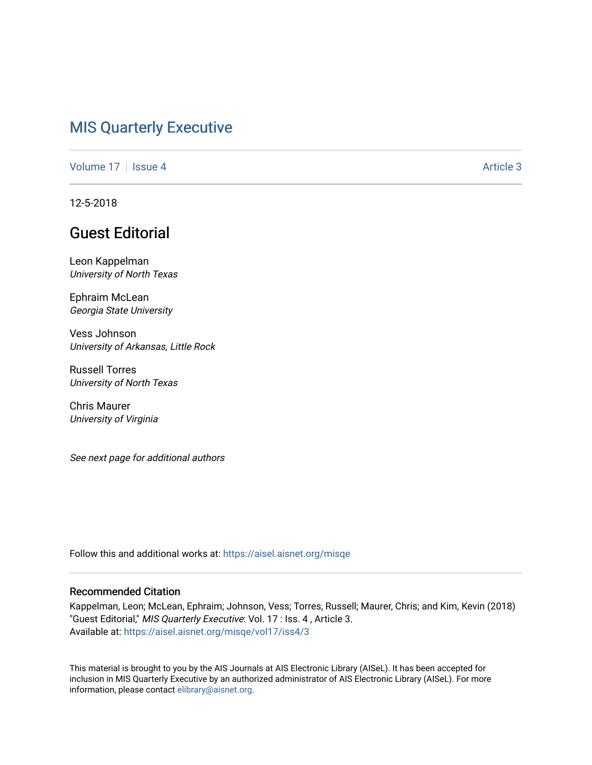# [MIS Quarterly Executive](https://aisel.aisnet.org/misqe)

[Volume 17](https://aisel.aisnet.org/misqe/vol17) | [Issue 4](https://aisel.aisnet.org/misqe/vol17/iss4) Article 3

12-5-2018

# Guest Editorial

Leon Kappelman University of North Texas

Ephraim McLean Georgia State University

Vess Johnson University of Arkansas, Little Rock

Russell Torres University of North Texas

Chris Maurer University of Virginia

See next page for additional authors

Follow this and additional works at: [https://aisel.aisnet.org/misqe](https://aisel.aisnet.org/misqe?utm_source=aisel.aisnet.org%2Fmisqe%2Fvol17%2Fiss4%2F3&utm_medium=PDF&utm_campaign=PDFCoverPages)

#### Recommended Citation

Kappelman, Leon; McLean, Ephraim; Johnson, Vess; Torres, Russell; Maurer, Chris; and Kim, Kevin (2018) "Guest Editorial," MIS Quarterly Executive: Vol. 17 : Iss. 4, Article 3. Available at: [https://aisel.aisnet.org/misqe/vol17/iss4/3](https://aisel.aisnet.org/misqe/vol17/iss4/3?utm_source=aisel.aisnet.org%2Fmisqe%2Fvol17%2Fiss4%2F3&utm_medium=PDF&utm_campaign=PDFCoverPages)

This material is brought to you by the AIS Journals at AIS Electronic Library (AISeL). It has been accepted for inclusion in MIS Quarterly Executive by an authorized administrator of AIS Electronic Library (AISeL). For more information, please contact [elibrary@aisnet.org.](mailto:elibrary@aisnet.org%3E)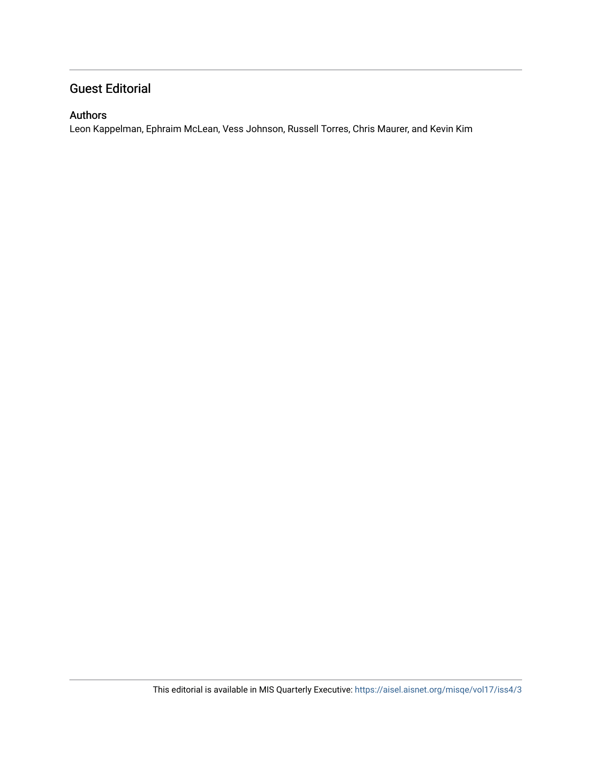## Guest Editorial

#### Authors

Leon Kappelman, Ephraim McLean, Vess Johnson, Russell Torres, Chris Maurer, and Kevin Kim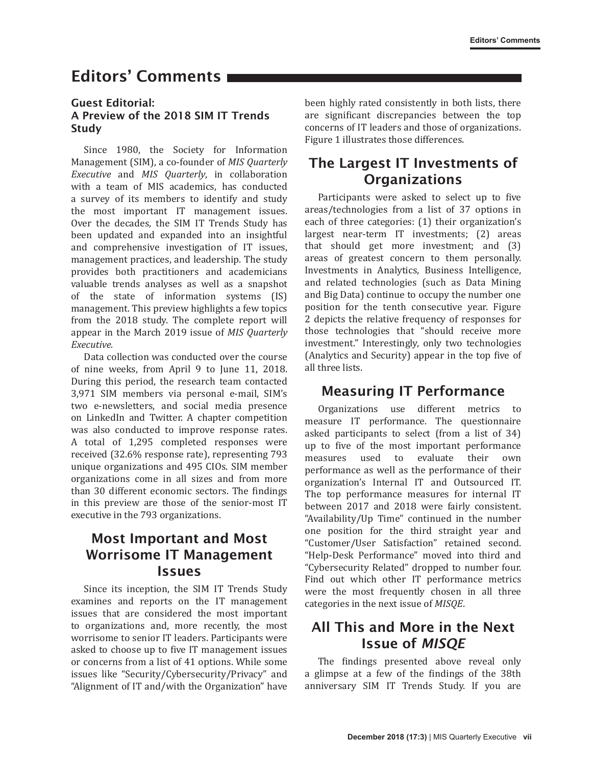# Editors' Comments

#### Guest Editorial: A Preview of the 2018 SIM IT Trends Study

Since 1980, the Society for Information Management (SIM), a co-founder of *MIS Quarterly Executive* and *MIS Quarterly*, in collaboration with a team of MIS academics, has conducted a survey of its members to identify and study the most important IT management issues. Over the decades, the SIM IT Trends Study has been updated and expanded into an insightful and comprehensive investigation of IT issues, management practices, and leadership. The study provides both practitioners and academicians valuable trends analyses as well as a snapshot of the state of information systems (IS) management. This preview highlights a few topics from the 2018 study. The complete report will appear in the March 2019 issue of *MIS Quarterly Executive.*

Data collection was conducted over the course of nine weeks, from April 9 to June 11, 2018. During this period, the research team contacted 3,971 SIM members via personal e-mail, SIM's two e-newsletters, and social media presence on LinkedIn and Twitter. A chapter competition was also conducted to improve response rates. A total of 1,295 completed responses were received (32.6% response rate), representing 793 unique organizations and 495 CIOs. SIM member organizations come in all sizes and from more than 30 different economic sectors. The findings in this preview are those of the senior-most IT executive in the 793 organizations.

## Most Important and Most Worrisome IT Management Issues

Since its inception, the SIM IT Trends Study examines and reports on the IT management issues that are considered the most important to organizations and, more recently, the most worrisome to senior IT leaders. Participants were asked to choose up to five IT management issues or concerns from a list of 41 options. While some issues like "Security/Cybersecurity/Privacy" and "Alignment of IT and/with the Organization" have

been highly rated consistently in both lists, there are significant discrepancies between the top concerns of IT leaders and those of organizations. Figure 1 illustrates those differences.

## The Largest IT Investments of **Organizations**

Participants were asked to select up to five areas/technologies from a list of 37 options in each of three categories: (1) their organization's largest near-term IT investments; (2) areas that should get more investment; and (3) areas of greatest concern to them personally. Investments in Analytics, Business Intelligence, and related technologies (such as Data Mining and Big Data) continue to occupy the number one position for the tenth consecutive year. Figure 2 depicts the relative frequency of responses for those technologies that "should receive more investment." Interestingly, only two technologies (Analytics and Security) appear in the top five of all three lists.

### Measuring IT Performance

Organizations use different metrics to measure IT performance. The questionnaire asked participants to select (from a list of 34) up to five of the most important performance<br>measures used to evaluate their own evaluate their performance as well as the performance of their organization's Internal IT and Outsourced IT. The top performance measures for internal IT between 2017 and 2018 were fairly consistent. "Availability/Up Time" continued in the number one position for the third straight year and "Customer/User Satisfaction" retained second. "Help-Desk Performance" moved into third and "Cybersecurity Related" dropped to number four. Find out which other IT performance metrics were the most frequently chosen in all three categories in the next issue of *MISQE*.

## All This and More in the Next Issue of *MISQE*

The findings presented above reveal only a glimpse at a few of the findings of the 38th anniversary SIM IT Trends Study. If you are